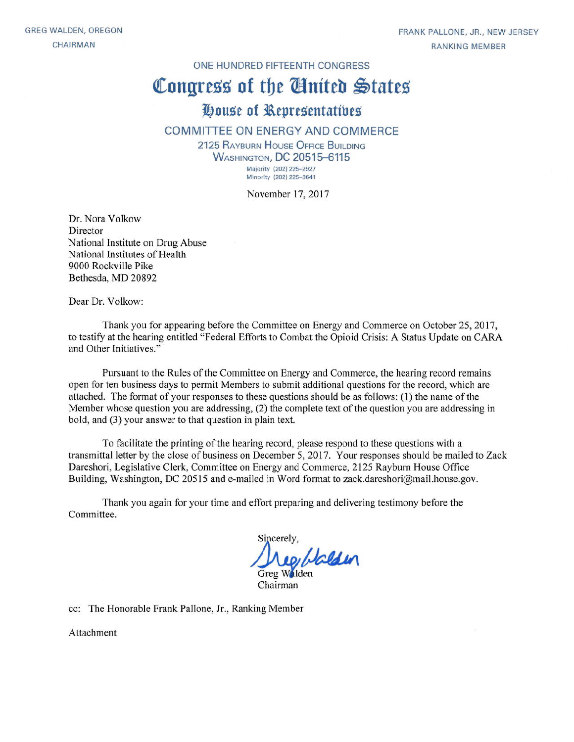ONE HUNDRED FIFTEENTH CONGRESS

# Congress of the Ginited States

# House of Representatives

#### COMMITTEE ON ENERGY AND COMMERCE

2125 RAYBURN HOUSE OFFICE BUILDING **WASHINGTON, DC 20515-6115** Majority (202) 225-2927 Minority (202) 225-3641

November 17, 2017

Dr. Nora Volkow Director National Institute on Drug Abuse National Institutes of Health 9000 Rockville Pike Bethesda, MD 20892

Dear Dr. Volkow:

Thank you for appearing before the Committee on Energy and Commerce on October 25, 2017, to testify at the hearing entitled "Federal Efforts to Combat the Opioid Crisis: A Status Update on CARA and Other Initiatives."

Pursuant to the Rules of the Committee on Energy and Commerce, the hearing record remains open for ten business days to permit Members to submit additional questions for the record, which are attached. The format of your responses to these questions should be as follows: (1) the name of the Member whose question you are addressing, (2) the complete text of the question you are addressing in bold, and (3) your answer to that question in plain text.

To facilitate the printing of the hearing record, please respond to these questions with a transmittal letter by the close of business on December 5, 2017. Your responses should be mailed to Zack Dareshori, Legislative Clerk, Committee on Energy and Commerce, 2125 Rayburn House Office Building, Washington, DC 20515 and e-mailed in Word format to zack.dareshori@mail.house.gov.

Thank you again for your time and effort preparing and delivering testimony before the Committee.

Sincerely. Neg Halden Chairman

cc: The Honorable Frank Pallone, Jr., Ranking Member

Attachment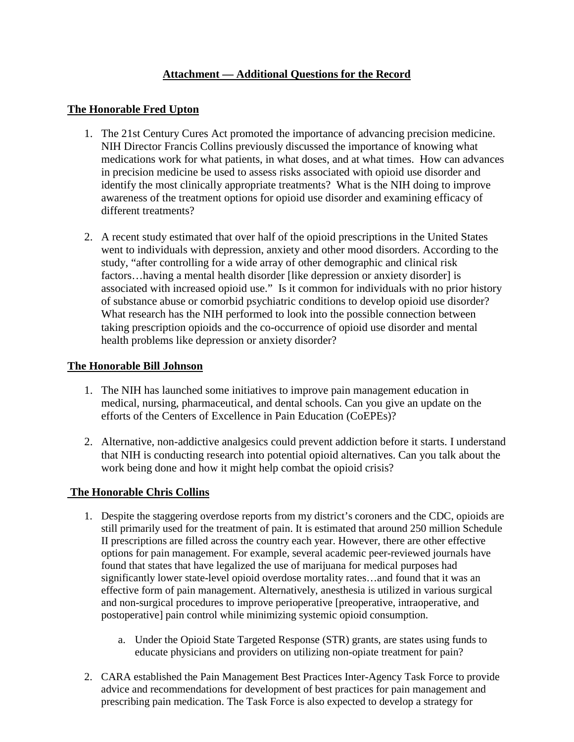# **Attachment — Additional Questions for the Record**

#### **The Honorable Fred Upton**

- 1. The 21st Century Cures Act promoted the importance of advancing precision medicine. NIH Director Francis Collins previously discussed the importance of knowing what medications work for what patients, in what doses, and at what times. How can advances in precision medicine be used to assess risks associated with opioid use disorder and identify the most clinically appropriate treatments? What is the NIH doing to improve awareness of the treatment options for opioid use disorder and examining efficacy of different treatments?
- 2. A recent study estimated that over half of the opioid prescriptions in the United States went to individuals with depression, anxiety and other mood disorders. According to the study, "after controlling for a wide array of other demographic and clinical risk factors…having a mental health disorder [like depression or anxiety disorder] is associated with increased opioid use." Is it common for individuals with no prior history of substance abuse or comorbid psychiatric conditions to develop opioid use disorder? What research has the NIH performed to look into the possible connection between taking prescription opioids and the co-occurrence of opioid use disorder and mental health problems like depression or anxiety disorder?

#### **The Honorable Bill Johnson**

- 1. The NIH has launched some initiatives to improve pain management education in medical, nursing, pharmaceutical, and dental schools. Can you give an update on the efforts of the Centers of Excellence in Pain Education (CoEPEs)?
- 2. Alternative, non-addictive analgesics could prevent addiction before it starts. I understand that NIH is conducting research into potential opioid alternatives. Can you talk about the work being done and how it might help combat the opioid crisis?

## **The Honorable Chris Collins**

- 1. Despite the staggering overdose reports from my district's coroners and the CDC, opioids are still primarily used for the treatment of pain. It is estimated that around 250 million Schedule II prescriptions are filled across the country each year. However, there are other effective options for pain management. For example, several academic peer-reviewed journals have found that states that have legalized the use of marijuana for medical purposes had significantly lower state-level opioid overdose mortality rates…and found that it was an effective form of pain management. Alternatively, anesthesia is utilized in various surgical and non-surgical procedures to improve perioperative [preoperative, intraoperative, and postoperative] pain control while minimizing systemic opioid consumption.
	- a. Under the Opioid State Targeted Response (STR) grants, are states using funds to educate physicians and providers on utilizing non-opiate treatment for pain?
- 2. CARA established the Pain Management Best Practices Inter-Agency Task Force to provide advice and recommendations for development of best practices for pain management and prescribing pain medication. The Task Force is also expected to develop a strategy for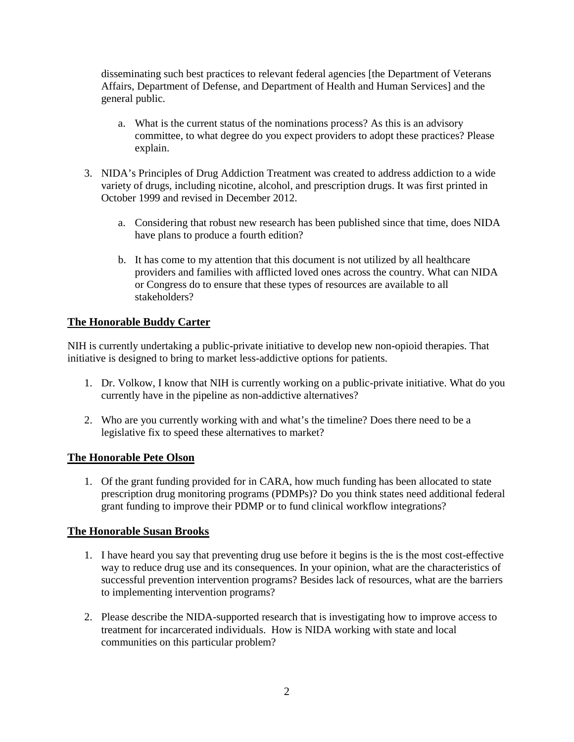disseminating such best practices to relevant federal agencies [the Department of Veterans Affairs, Department of Defense, and Department of Health and Human Services] and the general public.

- a. What is the current status of the nominations process? As this is an advisory committee, to what degree do you expect providers to adopt these practices? Please explain.
- 3. NIDA's Principles of Drug Addiction Treatment was created to address addiction to a wide variety of drugs, including nicotine, alcohol, and prescription drugs. It was first printed in October 1999 and revised in December 2012.
	- a. Considering that robust new research has been published since that time, does NIDA have plans to produce a fourth edition?
	- b. It has come to my attention that this document is not utilized by all healthcare providers and families with afflicted loved ones across the country. What can NIDA or Congress do to ensure that these types of resources are available to all stakeholders?

## **The Honorable Buddy Carter**

NIH is currently undertaking a public-private initiative to develop new non-opioid therapies. That initiative is designed to bring to market less-addictive options for patients.

- 1. Dr. Volkow, I know that NIH is currently working on a public-private initiative. What do you currently have in the pipeline as non-addictive alternatives?
- 2. Who are you currently working with and what's the timeline? Does there need to be a legislative fix to speed these alternatives to market?

#### **The Honorable Pete Olson**

1. Of the grant funding provided for in CARA, how much funding has been allocated to state prescription drug monitoring programs (PDMPs)? Do you think states need additional federal grant funding to improve their PDMP or to fund clinical workflow integrations?

#### **The Honorable Susan Brooks**

- 1. I have heard you say that preventing drug use before it begins is the is the most cost-effective way to reduce drug use and its consequences. In your opinion, what are the characteristics of successful prevention intervention programs? Besides lack of resources, what are the barriers to implementing intervention programs?
- 2. Please describe the NIDA-supported research that is investigating how to improve access to treatment for incarcerated individuals. How is NIDA working with state and local communities on this particular problem?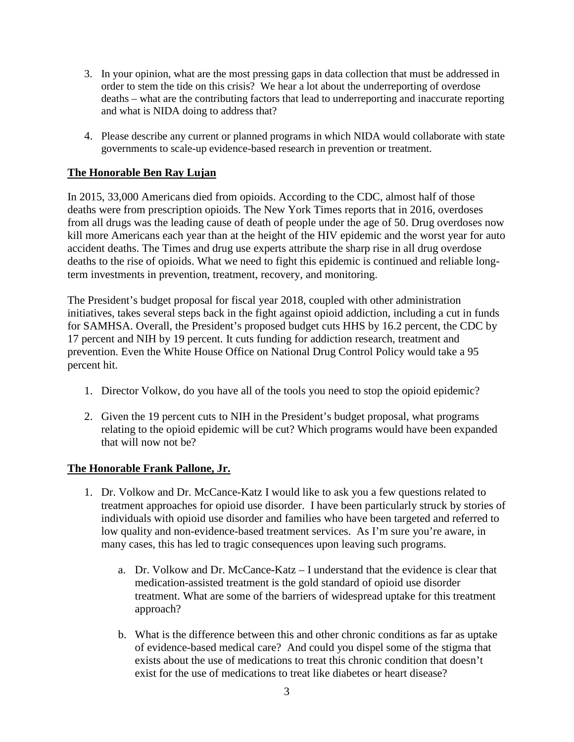- 3. In your opinion, what are the most pressing gaps in data collection that must be addressed in order to stem the tide on this crisis? We hear a lot about the underreporting of overdose deaths – what are the contributing factors that lead to underreporting and inaccurate reporting and what is NIDA doing to address that?
- 4. Please describe any current or planned programs in which NIDA would collaborate with state governments to scale-up evidence-based research in prevention or treatment.

# **The Honorable Ben Ray Lujan**

In 2015, 33,000 Americans died from opioids. According to the CDC, almost half of those deaths were from prescription opioids. The New York Times reports that in 2016, overdoses from all drugs was the leading cause of death of people under the age of 50. Drug overdoses now kill more Americans each year than at the height of the HIV epidemic and the worst year for auto accident deaths. The Times and drug use experts attribute the sharp rise in all drug overdose deaths to the rise of opioids. What we need to fight this epidemic is continued and reliable longterm investments in prevention, treatment, recovery, and monitoring.

The President's budget proposal for fiscal year 2018, coupled with other administration initiatives, takes several steps back in the fight against opioid addiction, including a cut in funds for SAMHSA. Overall, the President's proposed budget cuts HHS by 16.2 percent, the CDC by 17 percent and NIH by 19 percent. It cuts funding for addiction research, treatment and prevention. Even the White House Office on National Drug Control Policy would take a 95 percent hit.

- 1. Director Volkow, do you have all of the tools you need to stop the opioid epidemic?
- 2. Given the 19 percent cuts to NIH in the President's budget proposal, what programs relating to the opioid epidemic will be cut? Which programs would have been expanded that will now not be?

## **The Honorable Frank Pallone, Jr.**

- 1. Dr. Volkow and Dr. McCance-Katz I would like to ask you a few questions related to treatment approaches for opioid use disorder. I have been particularly struck by stories of individuals with opioid use disorder and families who have been targeted and referred to low quality and non-evidence-based treatment services. As I'm sure you're aware, in many cases, this has led to tragic consequences upon leaving such programs.
	- a. Dr. Volkow and Dr. McCance-Katz I understand that the evidence is clear that medication-assisted treatment is the gold standard of opioid use disorder treatment. What are some of the barriers of widespread uptake for this treatment approach?
	- b. What is the difference between this and other chronic conditions as far as uptake of evidence-based medical care? And could you dispel some of the stigma that exists about the use of medications to treat this chronic condition that doesn't exist for the use of medications to treat like diabetes or heart disease?